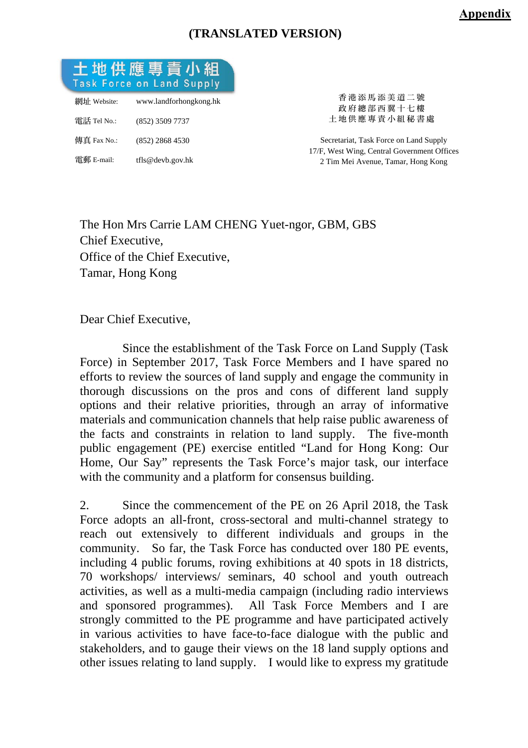# **(TRANSLATED VERSION)**



The Hon Mrs Carrie LAM CHENG Yuet-ngor, GBM, GBS Chief Executive, Office of the Chief Executive, Tamar, Hong Kong

Dear Chief Executive,

 Since the establishment of the Task Force on Land Supply (Task Force) in September 2017, Task Force Members and I have spared no efforts to review the sources of land supply and engage the community in thorough discussions on the pros and cons of different land supply options and their relative priorities, through an array of informative materials and communication channels that help raise public awareness of the facts and constraints in relation to land supply. The five-month public engagement (PE) exercise entitled "Land for Hong Kong: Our Home, Our Say" represents the Task Force's major task, our interface with the community and a platform for consensus building.

2. Since the commencement of the PE on 26 April 2018, the Task Force adopts an all-front, cross-sectoral and multi-channel strategy to reach out extensively to different individuals and groups in the community. So far, the Task Force has conducted over 180 PE events, including 4 public forums, roving exhibitions at 40 spots in 18 districts, 70 workshops/ interviews/ seminars, 40 school and youth outreach activities, as well as a multi-media campaign (including radio interviews and sponsored programmes). All Task Force Members and I are strongly committed to the PE programme and have participated actively in various activities to have face-to-face dialogue with the public and stakeholders, and to gauge their views on the 18 land supply options and other issues relating to land supply. I would like to express my gratitude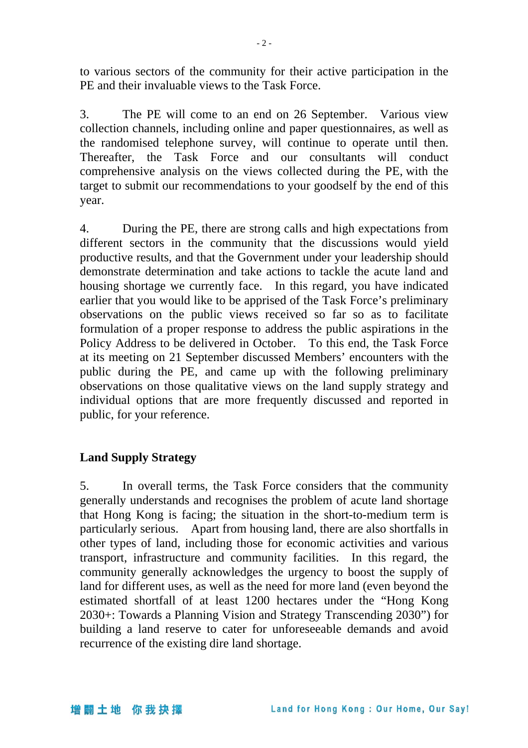to various sectors of the community for their active participation in the PE and their invaluable views to the Task Force.

3. The PE will come to an end on 26 September. Various view collection channels, including online and paper questionnaires, as well as the randomised telephone survey, will continue to operate until then. Thereafter, the Task Force and our consultants will conduct comprehensive analysis on the views collected during the PE, with the target to submit our recommendations to your goodself by the end of this year.

4. During the PE, there are strong calls and high expectations from different sectors in the community that the discussions would yield productive results, and that the Government under your leadership should demonstrate determination and take actions to tackle the acute land and housing shortage we currently face. In this regard, you have indicated earlier that you would like to be apprised of the Task Force's preliminary observations on the public views received so far so as to facilitate formulation of a proper response to address the public aspirations in the Policy Address to be delivered in October. To this end, the Task Force at its meeting on 21 September discussed Members' encounters with the public during the PE, and came up with the following preliminary observations on those qualitative views on the land supply strategy and individual options that are more frequently discussed and reported in public, for your reference.

#### **Land Supply Strategy**

5. In overall terms, the Task Force considers that the community generally understands and recognises the problem of acute land shortage that Hong Kong is facing; the situation in the short-to-medium term is particularly serious. Apart from housing land, there are also shortfalls in other types of land, including those for economic activities and various transport, infrastructure and community facilities. In this regard, the community generally acknowledges the urgency to boost the supply of land for different uses, as well as the need for more land (even beyond the estimated shortfall of at least 1200 hectares under the "Hong Kong 2030+: Towards a Planning Vision and Strategy Transcending 2030") for building a land reserve to cater for unforeseeable demands and avoid recurrence of the existing dire land shortage.

#### 增闢土地 你我抉擇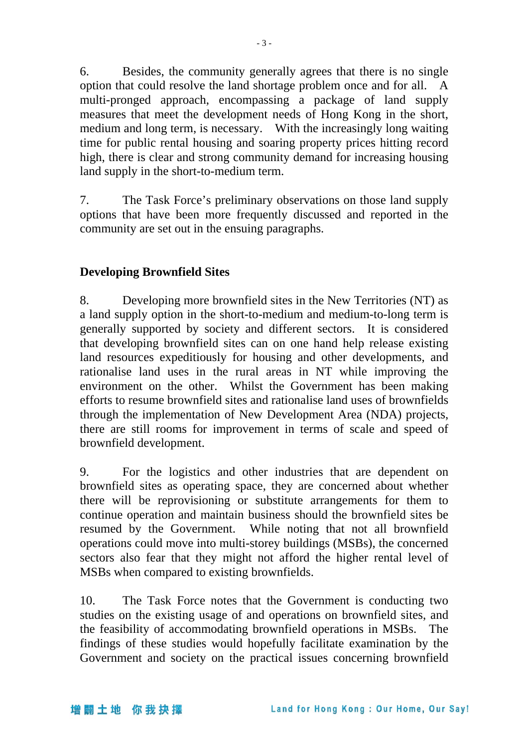6. Besides, the community generally agrees that there is no single option that could resolve the land shortage problem once and for all. A multi-pronged approach, encompassing a package of land supply measures that meet the development needs of Hong Kong in the short, medium and long term, is necessary. With the increasingly long waiting time for public rental housing and soaring property prices hitting record high, there is clear and strong community demand for increasing housing land supply in the short-to-medium term.

7. The Task Force's preliminary observations on those land supply options that have been more frequently discussed and reported in the community are set out in the ensuing paragraphs.

### **Developing Brownfield Sites**

8. Developing more brownfield sites in the New Territories (NT) as a land supply option in the short-to-medium and medium-to-long term is generally supported by society and different sectors. It is considered that developing brownfield sites can on one hand help release existing land resources expeditiously for housing and other developments, and rationalise land uses in the rural areas in NT while improving the environment on the other. Whilst the Government has been making efforts to resume brownfield sites and rationalise land uses of brownfields through the implementation of New Development Area (NDA) projects, there are still rooms for improvement in terms of scale and speed of brownfield development.

9. For the logistics and other industries that are dependent on brownfield sites as operating space, they are concerned about whether there will be reprovisioning or substitute arrangements for them to continue operation and maintain business should the brownfield sites be resumed by the Government. While noting that not all brownfield operations could move into multi-storey buildings (MSBs), the concerned sectors also fear that they might not afford the higher rental level of MSBs when compared to existing brownfields.

10. The Task Force notes that the Government is conducting two studies on the existing usage of and operations on brownfield sites, and the feasibility of accommodating brownfield operations in MSBs. The findings of these studies would hopefully facilitate examination by the Government and society on the practical issues concerning brownfield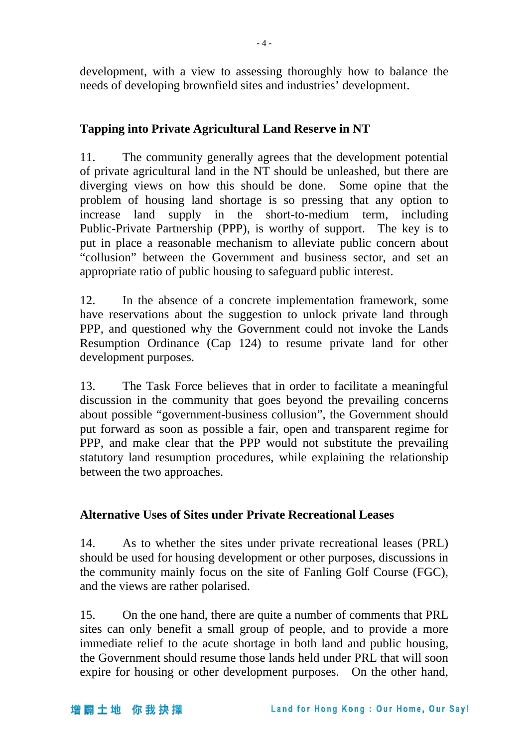development, with a view to assessing thoroughly how to balance the needs of developing brownfield sites and industries' development.

## **Tapping into Private Agricultural Land Reserve in NT**

11. The community generally agrees that the development potential of private agricultural land in the NT should be unleashed, but there are diverging views on how this should be done. Some opine that the problem of housing land shortage is so pressing that any option to increase land supply in the short-to-medium term, including Public-Private Partnership (PPP), is worthy of support. The key is to put in place a reasonable mechanism to alleviate public concern about "collusion" between the Government and business sector, and set an appropriate ratio of public housing to safeguard public interest.

12. In the absence of a concrete implementation framework, some have reservations about the suggestion to unlock private land through PPP, and questioned why the Government could not invoke the Lands Resumption Ordinance (Cap 124) to resume private land for other development purposes.

13. The Task Force believes that in order to facilitate a meaningful discussion in the community that goes beyond the prevailing concerns about possible "government-business collusion", the Government should put forward as soon as possible a fair, open and transparent regime for PPP, and make clear that the PPP would not substitute the prevailing statutory land resumption procedures, while explaining the relationship between the two approaches.

#### **Alternative Uses of Sites under Private Recreational Leases**

14. As to whether the sites under private recreational leases (PRL) should be used for housing development or other purposes, discussions in the community mainly focus on the site of Fanling Golf Course (FGC), and the views are rather polarised.

15. On the one hand, there are quite a number of comments that PRL sites can only benefit a small group of people, and to provide a more immediate relief to the acute shortage in both land and public housing, the Government should resume those lands held under PRL that will soon expire for housing or other development purposes. On the other hand,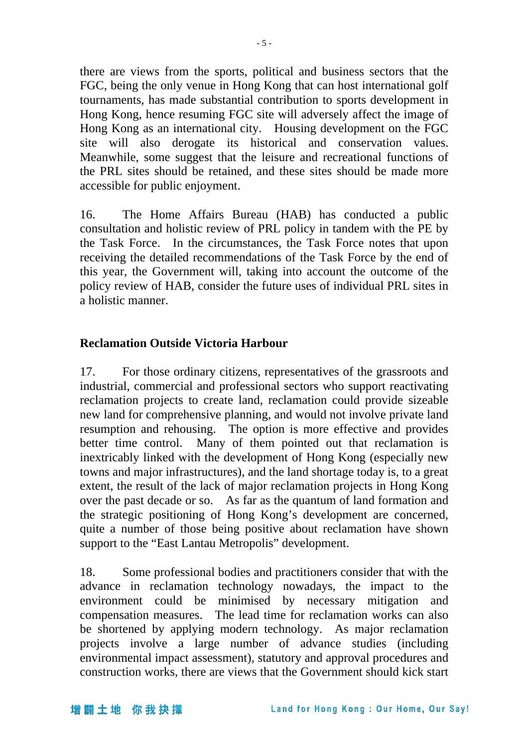there are views from the sports, political and business sectors that the FGC, being the only venue in Hong Kong that can host international golf tournaments, has made substantial contribution to sports development in Hong Kong, hence resuming FGC site will adversely affect the image of Hong Kong as an international city. Housing development on the FGC site will also derogate its historical and conservation values. Meanwhile, some suggest that the leisure and recreational functions of the PRL sites should be retained, and these sites should be made more accessible for public enjoyment.

16. The Home Affairs Bureau (HAB) has conducted a public consultation and holistic review of PRL policy in tandem with the PE by the Task Force. In the circumstances, the Task Force notes that upon receiving the detailed recommendations of the Task Force by the end of this year, the Government will, taking into account the outcome of the policy review of HAB, consider the future uses of individual PRL sites in a holistic manner.

### **Reclamation Outside Victoria Harbour**

17. For those ordinary citizens, representatives of the grassroots and industrial, commercial and professional sectors who support reactivating reclamation projects to create land, reclamation could provide sizeable new land for comprehensive planning, and would not involve private land resumption and rehousing. The option is more effective and provides better time control. Many of them pointed out that reclamation is inextricably linked with the development of Hong Kong (especially new towns and major infrastructures), and the land shortage today is, to a great extent, the result of the lack of major reclamation projects in Hong Kong over the past decade or so. As far as the quantum of land formation and the strategic positioning of Hong Kong's development are concerned, quite a number of those being positive about reclamation have shown support to the "East Lantau Metropolis" development.

18. Some professional bodies and practitioners consider that with the advance in reclamation technology nowadays, the impact to the environment could be minimised by necessary mitigation and compensation measures. The lead time for reclamation works can also be shortened by applying modern technology. As major reclamation projects involve a large number of advance studies (including environmental impact assessment), statutory and approval procedures and construction works, there are views that the Government should kick start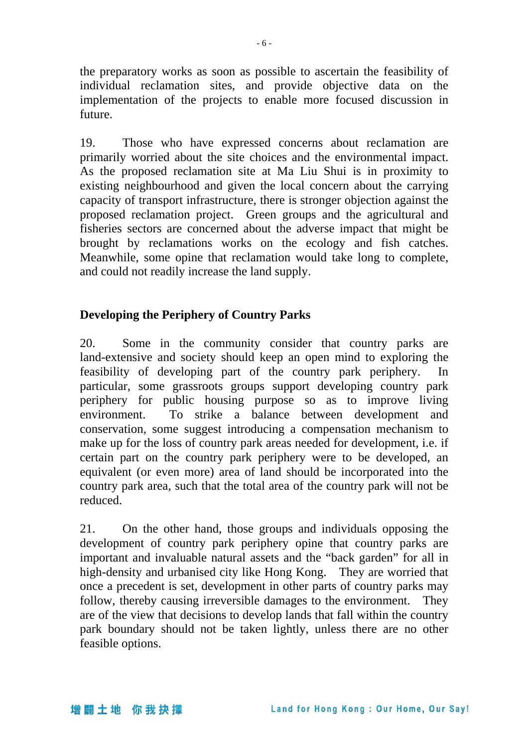the preparatory works as soon as possible to ascertain the feasibility of individual reclamation sites, and provide objective data on the implementation of the projects to enable more focused discussion in future.

19. Those who have expressed concerns about reclamation are primarily worried about the site choices and the environmental impact. As the proposed reclamation site at Ma Liu Shui is in proximity to existing neighbourhood and given the local concern about the carrying capacity of transport infrastructure, there is stronger objection against the proposed reclamation project. Green groups and the agricultural and fisheries sectors are concerned about the adverse impact that might be brought by reclamations works on the ecology and fish catches. Meanwhile, some opine that reclamation would take long to complete, and could not readily increase the land supply.

### **Developing the Periphery of Country Parks**

20. Some in the community consider that country parks are land-extensive and society should keep an open mind to exploring the feasibility of developing part of the country park periphery. particular, some grassroots groups support developing country park periphery for public housing purpose so as to improve living environment. To strike a balance between development and conservation, some suggest introducing a compensation mechanism to make up for the loss of country park areas needed for development, i.e. if certain part on the country park periphery were to be developed, an equivalent (or even more) area of land should be incorporated into the country park area, such that the total area of the country park will not be reduced.

21. On the other hand, those groups and individuals opposing the development of country park periphery opine that country parks are important and invaluable natural assets and the "back garden" for all in high-density and urbanised city like Hong Kong. They are worried that once a precedent is set, development in other parts of country parks may follow, thereby causing irreversible damages to the environment. They are of the view that decisions to develop lands that fall within the country park boundary should not be taken lightly, unless there are no other feasible options.